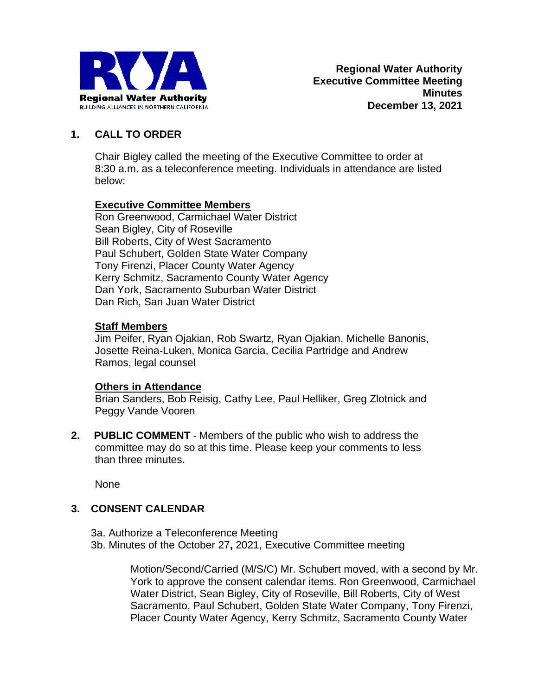

# **1. CALL TO ORDER**

Chair Bigley called the meeting of the Executive Committee to order at 8:30 a.m. as a teleconference meeting. Individuals in attendance are listed below:

### **Executive Committee Members**

Ron Greenwood, Carmichael Water District Sean Bigley, City of Roseville Bill Roberts, City of West Sacramento Paul Schubert, Golden State Water Company Tony Firenzi, Placer County Water Agency Kerry Schmitz, Sacramento County Water Agency Dan York, Sacramento Suburban Water District Dan Rich, San Juan Water District

### **Staff Members**

Jim Peifer, Ryan Ojakian, Rob Swartz, Ryan Ojakian, Michelle Banonis, Josette Reina-Luken, Monica Garcia, Cecilia Partridge and Andrew Ramos, legal counsel

### **Others in Attendance**

Brian Sanders, Bob Reisig, Cathy Lee, Paul Helliker, Greg Zlotnick and Peggy Vande Vooren

**2. PUBLIC COMMENT** - Members of the public who wish to address the committee may do so at this time. Please keep your comments to less than three minutes.

None

### **3. CONSENT CALENDAR**

3a. Authorize a Teleconference Meeting 3b. Minutes of the October 27**,** 2021, Executive Committee meeting

> Motion/Second/Carried (M/S/C) Mr. Schubert moved, with a second by Mr. York to approve the consent calendar items. Ron Greenwood, Carmichael Water District, Sean Bigley, City of Roseville, Bill Roberts, City of West Sacramento, Paul Schubert, Golden State Water Company, Tony Firenzi, Placer County Water Agency, Kerry Schmitz, Sacramento County Water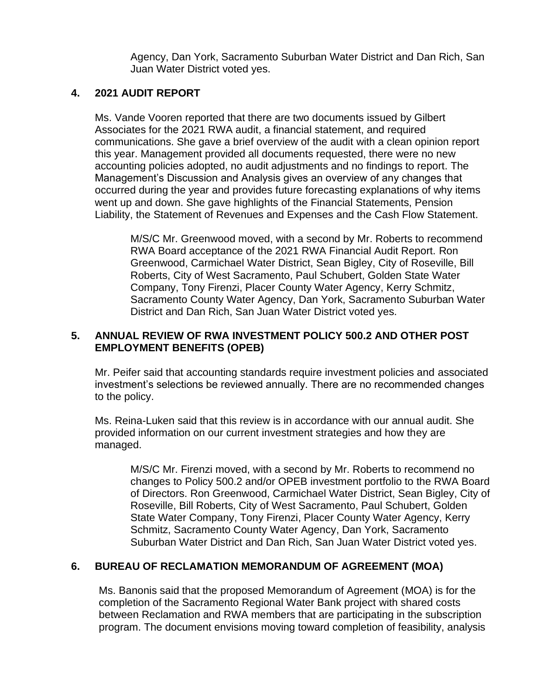Agency, Dan York, Sacramento Suburban Water District and Dan Rich, San Juan Water District voted yes.

#### **4. 2021 AUDIT REPORT**

Ms. Vande Vooren reported that there are two documents issued by Gilbert Associates for the 2021 RWA audit, a financial statement, and required communications. She gave a brief overview of the audit with a clean opinion report this year. Management provided all documents requested, there were no new accounting policies adopted, no audit adjustments and no findings to report. The Management's Discussion and Analysis gives an overview of any changes that occurred during the year and provides future forecasting explanations of why items went up and down. She gave highlights of the Financial Statements, Pension Liability, the Statement of Revenues and Expenses and the Cash Flow Statement.

M/S/C Mr. Greenwood moved, with a second by Mr. Roberts to recommend RWA Board acceptance of the 2021 RWA Financial Audit Report. Ron Greenwood, Carmichael Water District, Sean Bigley, City of Roseville, Bill Roberts, City of West Sacramento, Paul Schubert, Golden State Water Company, Tony Firenzi, Placer County Water Agency, Kerry Schmitz, Sacramento County Water Agency, Dan York, Sacramento Suburban Water District and Dan Rich, San Juan Water District voted yes.

# **5. ANNUAL REVIEW OF RWA INVESTMENT POLICY 500.2 AND OTHER POST EMPLOYMENT BENEFITS (OPEB)**

Mr. Peifer said that accounting standards require investment policies and associated investment's selections be reviewed annually. There are no recommended changes to the policy.

Ms. Reina-Luken said that this review is in accordance with our annual audit. She provided information on our current investment strategies and how they are managed.

M/S/C Mr. Firenzi moved, with a second by Mr. Roberts to recommend no changes to Policy 500.2 and/or OPEB investment portfolio to the RWA Board of Directors. Ron Greenwood, Carmichael Water District, Sean Bigley, City of Roseville, Bill Roberts, City of West Sacramento, Paul Schubert, Golden State Water Company, Tony Firenzi, Placer County Water Agency, Kerry Schmitz, Sacramento County Water Agency, Dan York, Sacramento Suburban Water District and Dan Rich, San Juan Water District voted yes.

### **6. BUREAU OF RECLAMATION MEMORANDUM OF AGREEMENT (MOA)**

Ms. Banonis said that the proposed Memorandum of Agreement (MOA) is for the completion of the Sacramento Regional Water Bank project with shared costs between Reclamation and RWA members that are participating in the subscription program. The document envisions moving toward completion of feasibility, analysis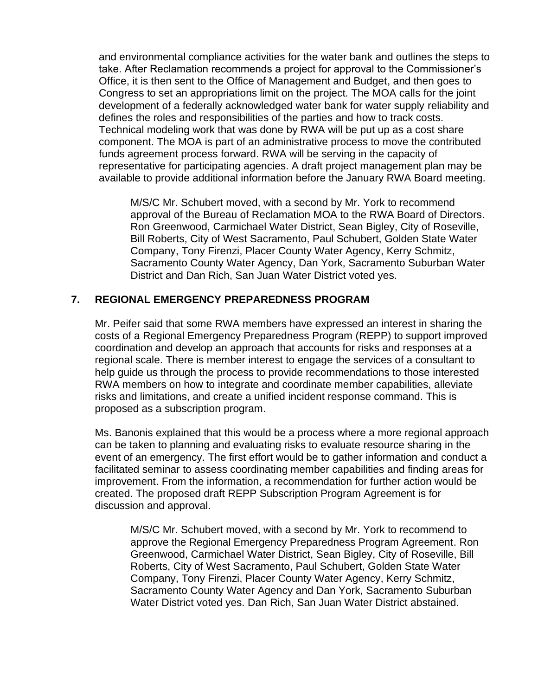and environmental compliance activities for the water bank and outlines the steps to take. After Reclamation recommends a project for approval to the Commissioner's Office, it is then sent to the Office of Management and Budget, and then goes to Congress to set an appropriations limit on the project. The MOA calls for the joint development of a federally acknowledged water bank for water supply reliability and defines the roles and responsibilities of the parties and how to track costs. Technical modeling work that was done by RWA will be put up as a cost share component. The MOA is part of an administrative process to move the contributed funds agreement process forward. RWA will be serving in the capacity of representative for participating agencies. A draft project management plan may be available to provide additional information before the January RWA Board meeting.

M/S/C Mr. Schubert moved, with a second by Mr. York to recommend approval of the Bureau of Reclamation MOA to the RWA Board of Directors. Ron Greenwood, Carmichael Water District, Sean Bigley, City of Roseville, Bill Roberts, City of West Sacramento, Paul Schubert, Golden State Water Company, Tony Firenzi, Placer County Water Agency, Kerry Schmitz, Sacramento County Water Agency, Dan York, Sacramento Suburban Water District and Dan Rich, San Juan Water District voted yes.

### **7. REGIONAL EMERGENCY PREPAREDNESS PROGRAM**

Mr. Peifer said that some RWA members have expressed an interest in sharing the costs of a Regional Emergency Preparedness Program (REPP) to support improved coordination and develop an approach that accounts for risks and responses at a regional scale. There is member interest to engage the services of a consultant to help guide us through the process to provide recommendations to those interested RWA members on how to integrate and coordinate member capabilities, alleviate risks and limitations, and create a unified incident response command. This is proposed as a subscription program.

Ms. Banonis explained that this would be a process where a more regional approach can be taken to planning and evaluating risks to evaluate resource sharing in the event of an emergency. The first effort would be to gather information and conduct a facilitated seminar to assess coordinating member capabilities and finding areas for improvement. From the information, a recommendation for further action would be created. The proposed draft REPP Subscription Program Agreement is for discussion and approval.

M/S/C Mr. Schubert moved, with a second by Mr. York to recommend to approve the Regional Emergency Preparedness Program Agreement. Ron Greenwood, Carmichael Water District, Sean Bigley, City of Roseville, Bill Roberts, City of West Sacramento, Paul Schubert, Golden State Water Company, Tony Firenzi, Placer County Water Agency, Kerry Schmitz, Sacramento County Water Agency and Dan York, Sacramento Suburban Water District voted yes. Dan Rich, San Juan Water District abstained.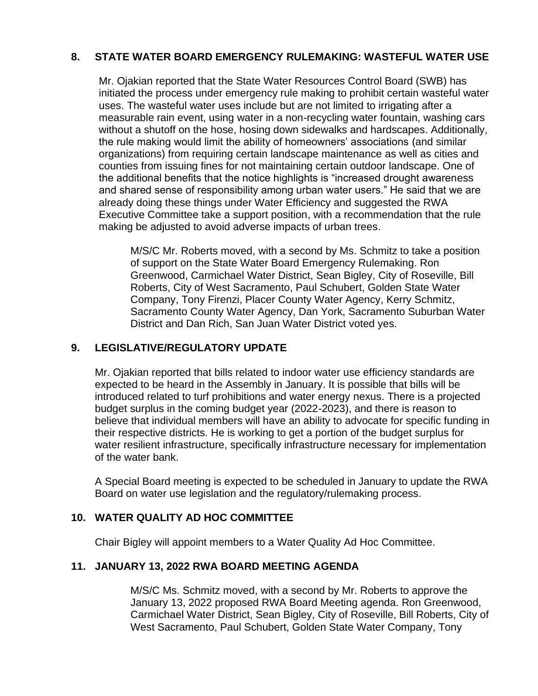# **8. STATE WATER BOARD EMERGENCY RULEMAKING: WASTEFUL WATER USE**

Mr. Ojakian reported that the State Water Resources Control Board (SWB) has initiated the process under emergency rule making to prohibit certain wasteful water uses. The wasteful water uses include but are not limited to irrigating after a measurable rain event, using water in a non-recycling water fountain, washing cars without a shutoff on the hose, hosing down sidewalks and hardscapes. Additionally, the rule making would limit the ability of homeowners' associations (and similar organizations) from requiring certain landscape maintenance as well as cities and counties from issuing fines for not maintaining certain outdoor landscape. One of the additional benefits that the notice highlights is "increased drought awareness and shared sense of responsibility among urban water users." He said that we are already doing these things under Water Efficiency and suggested the RWA Executive Committee take a support position, with a recommendation that the rule making be adjusted to avoid adverse impacts of urban trees.

M/S/C Mr. Roberts moved, with a second by Ms. Schmitz to take a position of support on the State Water Board Emergency Rulemaking. Ron Greenwood, Carmichael Water District, Sean Bigley, City of Roseville, Bill Roberts, City of West Sacramento, Paul Schubert, Golden State Water Company, Tony Firenzi, Placer County Water Agency, Kerry Schmitz, Sacramento County Water Agency, Dan York, Sacramento Suburban Water District and Dan Rich, San Juan Water District voted yes.

# **9. LEGISLATIVE/REGULATORY UPDATE**

Mr. Ojakian reported that bills related to indoor water use efficiency standards are expected to be heard in the Assembly in January. It is possible that bills will be introduced related to turf prohibitions and water energy nexus. There is a projected budget surplus in the coming budget year (2022-2023), and there is reason to believe that individual members will have an ability to advocate for specific funding in their respective districts. He is working to get a portion of the budget surplus for water resilient infrastructure, specifically infrastructure necessary for implementation of the water bank.

A Special Board meeting is expected to be scheduled in January to update the RWA Board on water use legislation and the regulatory/rulemaking process.

### **10. WATER QUALITY AD HOC COMMITTEE**

Chair Bigley will appoint members to a Water Quality Ad Hoc Committee.

### **11. JANUARY 13, 2022 RWA BOARD MEETING AGENDA**

M/S/C Ms. Schmitz moved, with a second by Mr. Roberts to approve the January 13, 2022 proposed RWA Board Meeting agenda. Ron Greenwood, Carmichael Water District, Sean Bigley, City of Roseville, Bill Roberts, City of West Sacramento, Paul Schubert, Golden State Water Company, Tony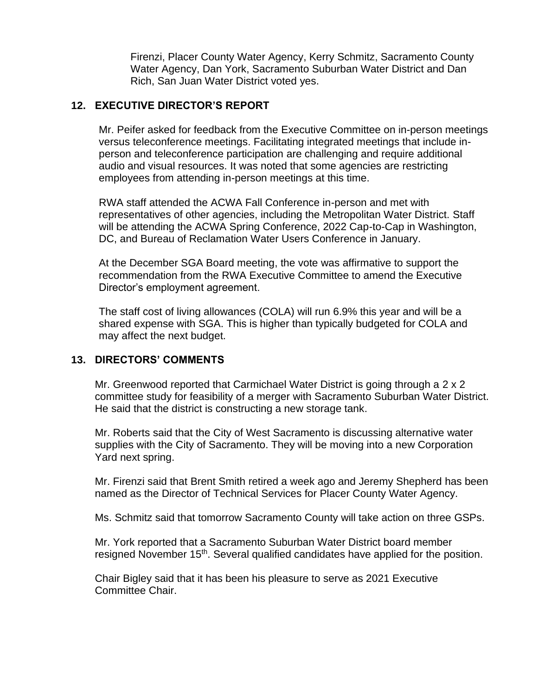Firenzi, Placer County Water Agency, Kerry Schmitz, Sacramento County Water Agency, Dan York, Sacramento Suburban Water District and Dan Rich, San Juan Water District voted yes.

# **12. EXECUTIVE DIRECTOR'S REPORT**

Mr. Peifer asked for feedback from the Executive Committee on in-person meetings versus teleconference meetings. Facilitating integrated meetings that include inperson and teleconference participation are challenging and require additional audio and visual resources. It was noted that some agencies are restricting employees from attending in-person meetings at this time.

RWA staff attended the ACWA Fall Conference in-person and met with representatives of other agencies, including the Metropolitan Water District. Staff will be attending the ACWA Spring Conference, 2022 Cap-to-Cap in Washington, DC, and Bureau of Reclamation Water Users Conference in January.

At the December SGA Board meeting, the vote was affirmative to support the recommendation from the RWA Executive Committee to amend the Executive Director's employment agreement.

The staff cost of living allowances (COLA) will run 6.9% this year and will be a shared expense with SGA. This is higher than typically budgeted for COLA and may affect the next budget.

### **13. DIRECTORS' COMMENTS**

Mr. Greenwood reported that Carmichael Water District is going through a 2 x 2 committee study for feasibility of a merger with Sacramento Suburban Water District. He said that the district is constructing a new storage tank.

Mr. Roberts said that the City of West Sacramento is discussing alternative water supplies with the City of Sacramento. They will be moving into a new Corporation Yard next spring.

Mr. Firenzi said that Brent Smith retired a week ago and Jeremy Shepherd has been named as the Director of Technical Services for Placer County Water Agency.

Ms. Schmitz said that tomorrow Sacramento County will take action on three GSPs.

Mr. York reported that a Sacramento Suburban Water District board member resigned November 15<sup>th</sup>. Several qualified candidates have applied for the position.

Chair Bigley said that it has been his pleasure to serve as 2021 Executive Committee Chair.